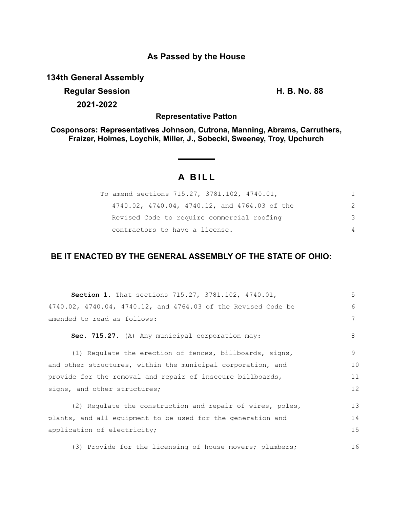## **As Passed by the House**

**134th General Assembly**

**Regular Session H. B. No. 88 2021-2022**

**Representative Patton**

**Cosponsors: Representatives Johnson, Cutrona, Manning, Abrams, Carruthers, Fraizer, Holmes, Loychik, Miller, J., Sobecki, Sweeney, Troy, Upchurch**

# **A BILL**

| To amend sections 715.27, 3781.102, 4740.01,  | 1.             |
|-----------------------------------------------|----------------|
| 4740.02, 4740.04, 4740.12, and 4764.03 of the | $\mathcal{P}$  |
| Revised Code to require commercial roofing    | 3              |
| contractors to have a license.                | $\overline{4}$ |

## **BE IT ENACTED BY THE GENERAL ASSEMBLY OF THE STATE OF OHIO:**

| <b>Section 1.</b> That sections 715.27, 3781.102, 4740.01,    | 5  |
|---------------------------------------------------------------|----|
| 4740.02, 4740.04, 4740.12, and 4764.03 of the Revised Code be | 6  |
| amended to read as follows:                                   | 7  |
| Sec. 715.27. (A) Any municipal corporation may:               | 8  |
| (1) Regulate the erection of fences, billboards, signs,       | 9  |
| and other structures, within the municipal corporation, and   | 10 |
| provide for the removal and repair of insecure billboards,    | 11 |
| signs, and other structures;                                  | 12 |
| (2) Regulate the construction and repair of wires, poles,     | 13 |
| plants, and all equipment to be used for the generation and   | 14 |
| application of electricity;                                   | 15 |
| (3) Provide for the licensing of house movers; plumbers;      | 16 |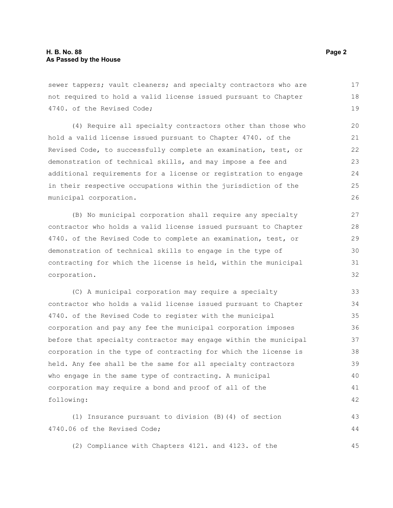sewer tappers; vault cleaners; and specialty contractors who are not required to hold a valid license issued pursuant to Chapter 4740. of the Revised Code; 17 18 19

(4) Require all specialty contractors other than those who hold a valid license issued pursuant to Chapter 4740. of the Revised Code, to successfully complete an examination, test, or demonstration of technical skills, and may impose a fee and additional requirements for a license or registration to engage in their respective occupations within the jurisdiction of the municipal corporation.

(B) No municipal corporation shall require any specialty contractor who holds a valid license issued pursuant to Chapter 4740. of the Revised Code to complete an examination, test, or demonstration of technical skills to engage in the type of contracting for which the license is held, within the municipal corporation.

(C) A municipal corporation may require a specialty contractor who holds a valid license issued pursuant to Chapter 4740. of the Revised Code to register with the municipal corporation and pay any fee the municipal corporation imposes before that specialty contractor may engage within the municipal corporation in the type of contracting for which the license is held. Any fee shall be the same for all specialty contractors who engage in the same type of contracting. A municipal corporation may require a bond and proof of all of the following: 33 34 35 36 37 38 39 40 41 42

(1) Insurance pursuant to division (B)(4) of section 4740.06 of the Revised Code; 43 44

(2) Compliance with Chapters 4121. and 4123. of the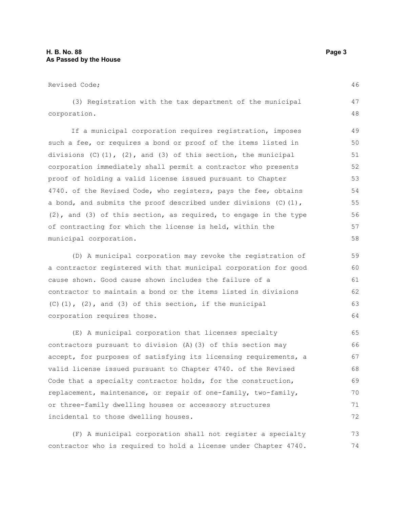| Revised Code;                                                            | 46 |
|--------------------------------------------------------------------------|----|
| (3) Registration with the tax department of the municipal                | 47 |
| corporation.                                                             | 48 |
| If a municipal corporation requires registration, imposes                | 49 |
| such a fee, or requires a bond or proof of the items listed in           | 50 |
| divisions $(C)$ $(1)$ , $(2)$ , and $(3)$ of this section, the municipal | 51 |
| corporation immediately shall permit a contractor who presents           | 52 |
| proof of holding a valid license issued pursuant to Chapter              | 53 |
| 4740. of the Revised Code, who registers, pays the fee, obtains          | 54 |
| a bond, and submits the proof described under divisions (C) (1),         | 55 |
| $(2)$ , and $(3)$ of this section, as required, to engage in the type    | 56 |
| of contracting for which the license is held, within the                 | 57 |
| municipal corporation.                                                   | 58 |
| (D) A municipal corporation may revoke the registration of               | 59 |
| a contractor registered with that municipal corporation for good         | 60 |
| cause shown. Good cause shown includes the failure of a                  | 61 |
| contractor to maintain a bond or the items listed in divisions           | 62 |
| $(C)$ (1), (2), and (3) of this section, if the municipal                | 63 |
| corporation requires those.                                              | 64 |
| (E) A municipal corporation that licenses specialty                      | 65 |
| contractors pursuant to division (A) (3) of this section may             | 66 |
| accept, for purposes of satisfying its licensing requirements, a         | 67 |
| valid license issued pursuant to Chapter 4740. of the Revised            | 68 |
| Code that a specialty contractor holds, for the construction,            | 69 |
| replacement, maintenance, or repair of one-family, two-family,           | 70 |

(F) A municipal corporation shall not register a specialty contractor who is required to hold a license under Chapter 4740. 73 74

or three-family dwelling houses or accessory structures

incidental to those dwelling houses.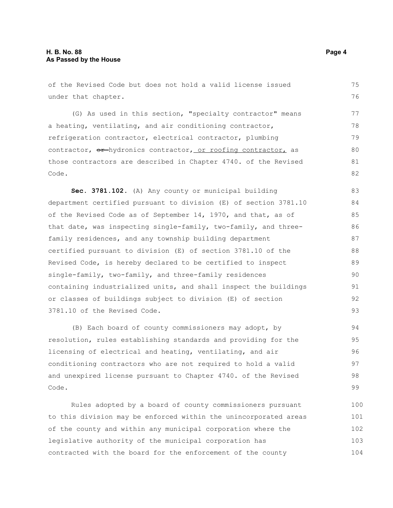of the Revised Code but does not hold a valid license issued under that chapter. (G) As used in this section, "specialty contractor" means a heating, ventilating, and air conditioning contractor, refrigeration contractor, electrical contractor, plumbing contractor,  $\Theta$ <sup>+</sup>hydronics contractor, or roofing contractor, as those contractors are described in Chapter 4740. of the Revised Code. **Sec. 3781.102.** (A) Any county or municipal building department certified pursuant to division (E) of section 3781.10 of the Revised Code as of September 14, 1970, and that, as of that date, was inspecting single-family, two-family, and threefamily residences, and any township building department certified pursuant to division (E) of section 3781.10 of the Revised Code, is hereby declared to be certified to inspect single-family, two-family, and three-family residences containing industrialized units, and shall inspect the buildings or classes of buildings subject to division (E) of section 3781.10 of the Revised Code. (B) Each board of county commissioners may adopt, by 75 76 77 78 79 80 81 82 83 84 85 86 87 88 89 90 91 92 93 94

resolution, rules establishing standards and providing for the licensing of electrical and heating, ventilating, and air conditioning contractors who are not required to hold a valid and unexpired license pursuant to Chapter 4740. of the Revised Code. 95 96 97 98 99

Rules adopted by a board of county commissioners pursuant to this division may be enforced within the unincorporated areas of the county and within any municipal corporation where the legislative authority of the municipal corporation has contracted with the board for the enforcement of the county 100 101 102 103 104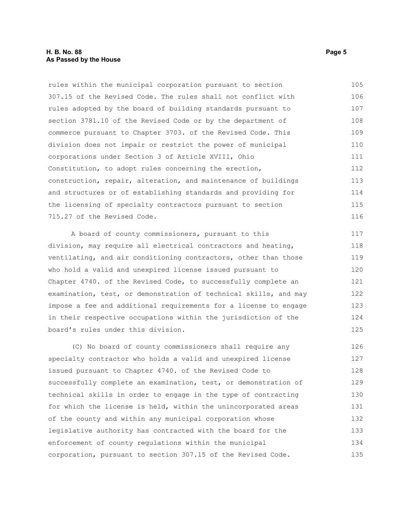#### **H. B. No. 88 Page 5 As Passed by the House**

rules within the municipal corporation pursuant to section 307.15 of the Revised Code. The rules shall not conflict with rules adopted by the board of building standards pursuant to section 3781.10 of the Revised Code or by the department of commerce pursuant to Chapter 3703. of the Revised Code. This division does not impair or restrict the power of municipal corporations under Section 3 of Article XVIII, Ohio Constitution, to adopt rules concerning the erection, construction, repair, alteration, and maintenance of buildings and structures or of establishing standards and providing for the licensing of specialty contractors pursuant to section 715.27 of the Revised Code. 105 106 107 108 109 110 111 112 113 114 115 116

A board of county commissioners, pursuant to this division, may require all electrical contractors and heating, ventilating, and air conditioning contractors, other than those who hold a valid and unexpired license issued pursuant to Chapter 4740. of the Revised Code, to successfully complete an examination, test, or demonstration of technical skills, and may impose a fee and additional requirements for a license to engage in their respective occupations within the jurisdiction of the board's rules under this division. 122

(C) No board of county commissioners shall require any specialty contractor who holds a valid and unexpired license issued pursuant to Chapter 4740. of the Revised Code to successfully complete an examination, test, or demonstration of technical skills in order to engage in the type of contracting for which the license is held, within the unincorporated areas of the county and within any municipal corporation whose legislative authority has contracted with the board for the enforcement of county regulations within the municipal corporation, pursuant to section 307.15 of the Revised Code. 126 127 128 129 130 131 132 133 134 135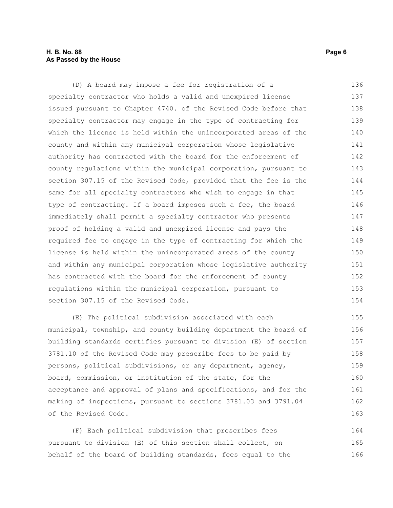#### **H. B. No. 88 Page 6 As Passed by the House**

(D) A board may impose a fee for registration of a specialty contractor who holds a valid and unexpired license issued pursuant to Chapter 4740. of the Revised Code before that specialty contractor may engage in the type of contracting for which the license is held within the unincorporated areas of the county and within any municipal corporation whose legislative authority has contracted with the board for the enforcement of county regulations within the municipal corporation, pursuant to section 307.15 of the Revised Code, provided that the fee is the same for all specialty contractors who wish to engage in that type of contracting. If a board imposes such a fee, the board immediately shall permit a specialty contractor who presents proof of holding a valid and unexpired license and pays the required fee to engage in the type of contracting for which the license is held within the unincorporated areas of the county and within any municipal corporation whose legislative authority has contracted with the board for the enforcement of county regulations within the municipal corporation, pursuant to section 307.15 of the Revised Code. 136 137 138 139 140 141 142 143 144 145 146 147 148 149 150 151 152 153 154

(E) The political subdivision associated with each municipal, township, and county building department the board of building standards certifies pursuant to division (E) of section 3781.10 of the Revised Code may prescribe fees to be paid by persons, political subdivisions, or any department, agency, board, commission, or institution of the state, for the acceptance and approval of plans and specifications, and for the making of inspections, pursuant to sections 3781.03 and 3791.04 of the Revised Code. 155 156 157 158 159 160 161 162 163

(F) Each political subdivision that prescribes fees pursuant to division (E) of this section shall collect, on behalf of the board of building standards, fees equal to the 164 165 166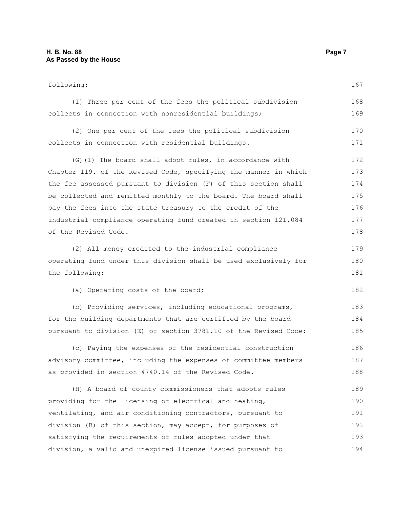following: (1) Three per cent of the fees the political subdivision collects in connection with nonresidential buildings; (2) One per cent of the fees the political subdivision collects in connection with residential buildings. (G)(1) The board shall adopt rules, in accordance with Chapter 119. of the Revised Code, specifying the manner in which the fee assessed pursuant to division (F) of this section shall be collected and remitted monthly to the board. The board shall pay the fees into the state treasury to the credit of the industrial compliance operating fund created in section 121.084 of the Revised Code. (2) All money credited to the industrial compliance operating fund under this division shall be used exclusively for the following: (a) Operating costs of the board; (b) Providing services, including educational programs, for the building departments that are certified by the board pursuant to division (E) of section 3781.10 of the Revised Code; (c) Paying the expenses of the residential construction advisory committee, including the expenses of committee members as provided in section 4740.14 of the Revised Code. (H) A board of county commissioners that adopts rules providing for the licensing of electrical and heating, ventilating, and air conditioning contractors, pursuant to division (B) of this section, may accept, for purposes of satisfying the requirements of rules adopted under that 167 168 169 170 171 172 173 174 175 176 177 178 179 180 181 182 183 184 185 186 187 188 189 190 191 192 193

division, a valid and unexpired license issued pursuant to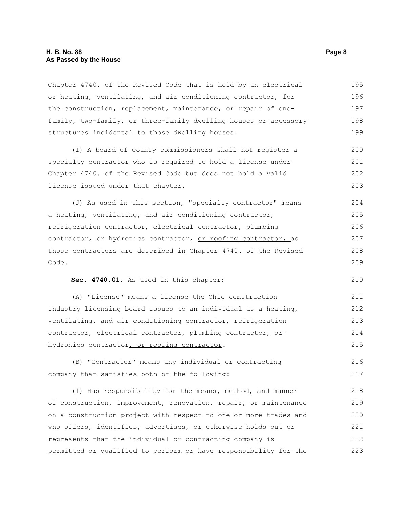#### **H. B. No. 88 Page 8 As Passed by the House**

Chapter 4740. of the Revised Code that is held by an electrical or heating, ventilating, and air conditioning contractor, for the construction, replacement, maintenance, or repair of onefamily, two-family, or three-family dwelling houses or accessory structures incidental to those dwelling houses. 195 196 197 198 199

(I) A board of county commissioners shall not register a specialty contractor who is required to hold a license under Chapter 4740. of the Revised Code but does not hold a valid license issued under that chapter. 200 201 202 203

(J) As used in this section, "specialty contractor" means a heating, ventilating, and air conditioning contractor, refrigeration contractor, electrical contractor, plumbing contractor,  $e^{\frac{r}{2}}$ -hydronics contractor, or roofing contractor, as those contractors are described in Chapter 4740. of the Revised Code. 204 205 206 207 208 209

**Sec. 4740.01.** As used in this chapter:

(A) "License" means a license the Ohio construction industry licensing board issues to an individual as a heating, ventilating, and air conditioning contractor, refrigeration contractor, electrical contractor, plumbing contractor, orhydronics contractor, or roofing contractor. 211 212 213 214 215

(B) "Contractor" means any individual or contracting company that satisfies both of the following: 216 217

(1) Has responsibility for the means, method, and manner of construction, improvement, renovation, repair, or maintenance on a construction project with respect to one or more trades and who offers, identifies, advertises, or otherwise holds out or represents that the individual or contracting company is permitted or qualified to perform or have responsibility for the 218 219 220 221 222 223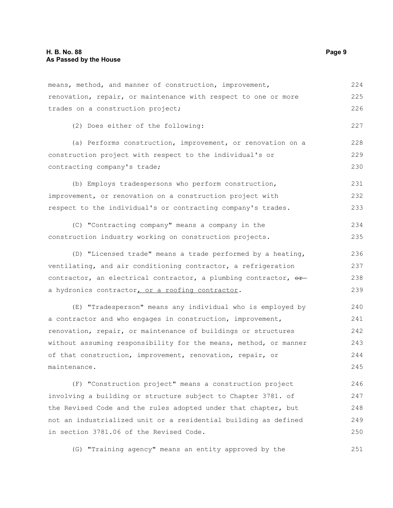means, method, and manner of construction, improvement, renovation, repair, or maintenance with respect to one or more trades on a construction project; 224 225 226

(2) Does either of the following:

(a) Performs construction, improvement, or renovation on a construction project with respect to the individual's or contracting company's trade; 228 229 230

(b) Employs tradespersons who perform construction, improvement, or renovation on a construction project with respect to the individual's or contracting company's trades. 231 232 233

(C) "Contracting company" means a company in the construction industry working on construction projects. 234 235

(D) "Licensed trade" means a trade performed by a heating, ventilating, and air conditioning contractor, a refrigeration contractor, an electrical contractor, a plumbing contractor,  $\theta$ a hydronics contractor, or a roofing contractor. 236 237 238 239

(E) "Tradesperson" means any individual who is employed by a contractor and who engages in construction, improvement, renovation, repair, or maintenance of buildings or structures without assuming responsibility for the means, method, or manner of that construction, improvement, renovation, repair, or maintenance. 240 241 242 243 244 245

(F) "Construction project" means a construction project involving a building or structure subject to Chapter 3781. of the Revised Code and the rules adopted under that chapter, but not an industrialized unit or a residential building as defined in section 3781.06 of the Revised Code. 246 247 248 249 250

(G) "Training agency" means an entity approved by the

227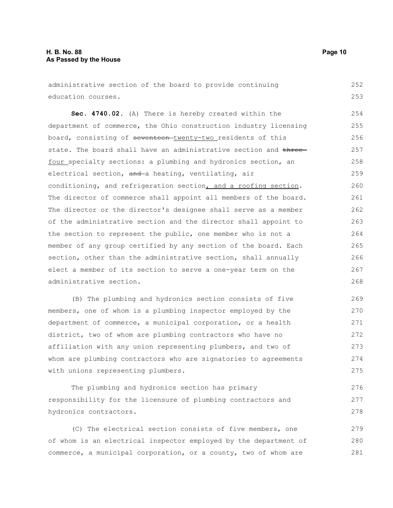administrative section of the board to provide continuing education courses. **Sec. 4740.02.** (A) There is hereby created within the department of commerce, the Ohio construction industry licensing board, consisting of seventeen-twenty-two residents of this state. The board shall have an administrative section and threefour specialty sections: a plumbing and hydronics section, an electrical section, and a heating, ventilating, air conditioning, and refrigeration section, and a roofing section. The director of commerce shall appoint all members of the board. The director or the director's designee shall serve as a member of the administrative section and the director shall appoint to the section to represent the public, one member who is not a member of any group certified by any section of the board. Each section, other than the administrative section, shall annually elect a member of its section to serve a one-year term on the administrative section. 252 253 254 255 256 257 258 259 260 261 262 263 264 265 266 267 268

(B) The plumbing and hydronics section consists of five members, one of whom is a plumbing inspector employed by the department of commerce, a municipal corporation, or a health district, two of whom are plumbing contractors who have no affiliation with any union representing plumbers, and two of whom are plumbing contractors who are signatories to agreements with unions representing plumbers. 269 270 271 272 273 274 275

The plumbing and hydronics section has primary responsibility for the licensure of plumbing contractors and hydronics contractors. 276 277 278

(C) The electrical section consists of five members, one of whom is an electrical inspector employed by the department of commerce, a municipal corporation, or a county, two of whom are 279 280 281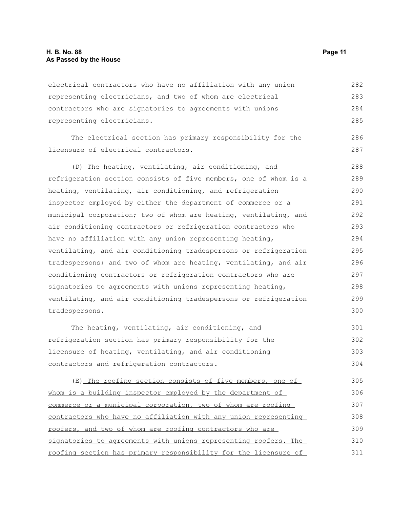electrical contractors who have no affiliation with any union representing electricians, and two of whom are electrical contractors who are signatories to agreements with unions representing electricians. The electrical section has primary responsibility for the 282 283 284 285 286

licensure of electrical contractors.

(D) The heating, ventilating, air conditioning, and refrigeration section consists of five members, one of whom is a heating, ventilating, air conditioning, and refrigeration inspector employed by either the department of commerce or a municipal corporation; two of whom are heating, ventilating, and air conditioning contractors or refrigeration contractors who have no affiliation with any union representing heating, ventilating, and air conditioning tradespersons or refrigeration tradespersons; and two of whom are heating, ventilating, and air conditioning contractors or refrigeration contractors who are signatories to agreements with unions representing heating, ventilating, and air conditioning tradespersons or refrigeration tradespersons. 288 289 290 291 292 293 294 295 296 297 298 299 300

The heating, ventilating, air conditioning, and refrigeration section has primary responsibility for the licensure of heating, ventilating, and air conditioning contractors and refrigeration contractors. 301 302 303 304

(E) The roofing section consists of five members, one of whom is a building inspector employed by the department of commerce or a municipal corporation, two of whom are roofing contractors who have no affiliation with any union representing roofers, and two of whom are roofing contractors who are signatories to agreements with unions representing roofers. The roofing section has primary responsibility for the licensure of 305 306 307 308 309 310 311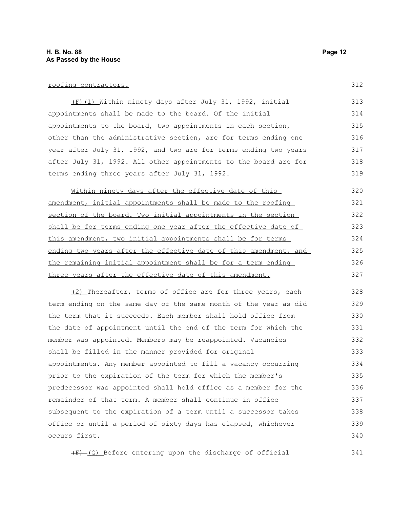#### roofing contractors.

(F)(1) Within ninety days after July 31, 1992, initial appointments shall be made to the board. Of the initial appointments to the board, two appointments in each section, other than the administrative section, are for terms ending one year after July 31, 1992, and two are for terms ending two years after July 31, 1992. All other appointments to the board are for terms ending three years after July 31, 1992. 313 314 315 316 317 318 319

Within ninety days after the effective date of this amendment, initial appointments shall be made to the roofing section of the board. Two initial appointments in the section shall be for terms ending one year after the effective date of this amendment, two initial appointments shall be for terms ending two years after the effective date of this amendment, and the remaining initial appointment shall be for a term ending three years after the effective date of this amendment. 320 321 322 323 324 325 326 327

(2) Thereafter, terms of office are for three years, each term ending on the same day of the same month of the year as did the term that it succeeds. Each member shall hold office from the date of appointment until the end of the term for which the member was appointed. Members may be reappointed. Vacancies shall be filled in the manner provided for original appointments. Any member appointed to fill a vacancy occurring prior to the expiration of the term for which the member's predecessor was appointed shall hold office as a member for the remainder of that term. A member shall continue in office subsequent to the expiration of a term until a successor takes office or until a period of sixty days has elapsed, whichever occurs first. 328 329 330 331 332 333 334 335 336 337 338 339 340

 $(F)$  (G) Before entering upon the discharge of official

312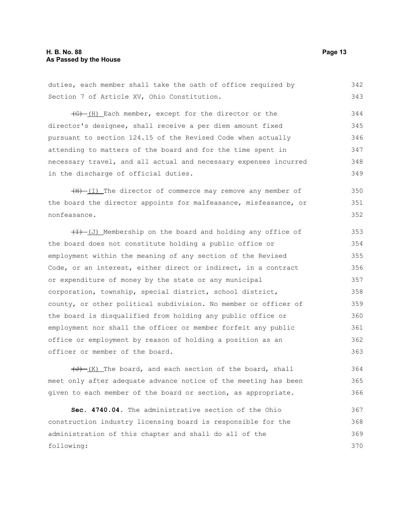#### **H. B. No. 88 Page 13 As Passed by the House**

duties, each member shall take the oath of office required by Section 7 of Article XV, Ohio Constitution.  $\left(\frac{1}{2} - \frac{1}{2}\right)$  Each member, except for the director or the 342 343 344

director's designee, shall receive a per diem amount fixed pursuant to section 124.15 of the Revised Code when actually attending to matters of the board and for the time spent in necessary travel, and all actual and necessary expenses incurred in the discharge of official duties. 345 346 347 348 349

 $(H)$   $(I)$  The director of commerce may remove any member of the board the director appoints for malfeasance, misfeasance, or nonfeasance. 350 351 352

 $(H)$  (J) Membership on the board and holding any office of the board does not constitute holding a public office or employment within the meaning of any section of the Revised Code, or an interest, either direct or indirect, in a contract or expenditure of money by the state or any municipal corporation, township, special district, school district, county, or other political subdivision. No member or officer of the board is disqualified from holding any public office or employment nor shall the officer or member forfeit any public office or employment by reason of holding a position as an officer or member of the board. 353 354 355 356 357 358 359 360 361 362 363

 $(\overline{J})$  (K) The board, and each section of the board, shall meet only after adequate advance notice of the meeting has been given to each member of the board or section, as appropriate. 364 365 366

**Sec. 4740.04.** The administrative section of the Ohio construction industry licensing board is responsible for the administration of this chapter and shall do all of the following: 367 368 369 370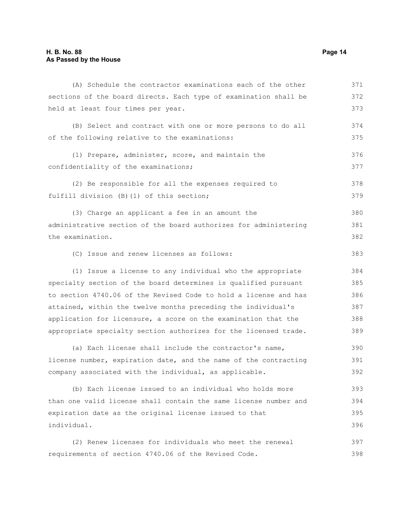| (A) Schedule the contractor examinations each of the other       | 371 |
|------------------------------------------------------------------|-----|
| sections of the board directs. Each type of examination shall be | 372 |
| held at least four times per year.                               | 373 |
| (B) Select and contract with one or more persons to do all       | 374 |
| of the following relative to the examinations:                   | 375 |
| (1) Prepare, administer, score, and maintain the                 | 376 |
| confidentiality of the examinations;                             | 377 |
| (2) Be responsible for all the expenses required to              | 378 |
| fulfill division (B) (1) of this section;                        | 379 |
| (3) Charge an applicant a fee in an amount the                   | 380 |
| administrative section of the board authorizes for administering | 381 |
| the examination.                                                 | 382 |
| (C) Issue and renew licenses as follows:                         | 383 |
| (1) Issue a license to any individual who the appropriate        | 384 |
| specialty section of the board determines is qualified pursuant  | 385 |
| to section 4740.06 of the Revised Code to hold a license and has | 386 |
| attained, within the twelve months preceding the individual's    | 387 |
| application for licensure, a score on the examination that the   | 388 |
| appropriate specialty section authorizes for the licensed trade. | 389 |
| (a) Each license shall include the contractor's name,            | 390 |
| license number, expiration date, and the name of the contracting | 391 |
| company associated with the individual, as applicable.           | 392 |
| (b) Each license issued to an individual who holds more          | 393 |
| than one valid license shall contain the same license number and | 394 |
| expiration date as the original license issued to that           | 395 |
| individual.                                                      | 396 |
| (2) Renew licenses for individuals who meet the renewal          | 397 |
| requirements of section 4740.06 of the Revised Code.             | 398 |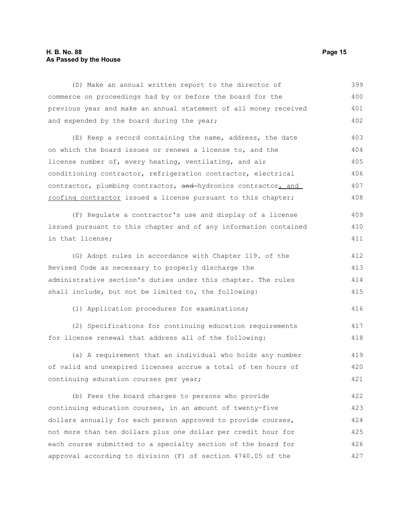### **H. B. No. 88 Page 15 As Passed by the House**

| (D) Make an annual written report to the director of             | 399 |
|------------------------------------------------------------------|-----|
| commerce on proceedings had by or before the board for the       | 400 |
| previous year and make an annual statement of all money received | 401 |
| and expended by the board during the year;                       | 402 |
| (E) Keep a record containing the name, address, the date         | 403 |
| on which the board issues or renews a license to, and the        | 404 |
| license number of, every heating, ventilating, and air           | 405 |
| conditioning contractor, refrigeration contractor, electrical    | 406 |
| contractor, plumbing contractor, and hydronics contractor, and   | 407 |
| roofing contractor issued a license pursuant to this chapter;    | 408 |
| (F) Regulate a contractor's use and display of a license         | 409 |
| issued pursuant to this chapter and of any information contained | 410 |
| in that license;                                                 | 411 |
| (G) Adopt rules in accordance with Chapter 119. of the           | 412 |
| Revised Code as necessary to properly discharge the              | 413 |
| administrative section's duties under this chapter. The rules    | 414 |
| shall include, but not be limited to, the following:             | 415 |
| (1) Application procedures for examinations;                     | 416 |
| (2) Specifications for continuing education requirements         | 417 |
| for license renewal that address all of the following:           | 418 |
| (a) A requirement that an individual who holds any number        | 419 |
| of valid and unexpired licenses accrue a total of ten hours of   | 420 |
| continuing education courses per year;                           | 421 |
| (b) Fees the board charges to persons who provide                | 422 |
| continuing education courses, in an amount of twenty-five        | 423 |
| dollars annually for each person approved to provide courses,    | 424 |
| not more than ten dollars plus one dollar per credit hour for    | 425 |
| each course submitted to a specialty section of the board for    | 426 |

approval according to division (F) of section 4740.05 of the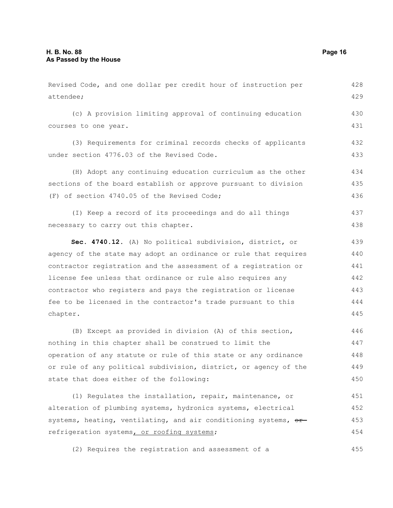| Revised Code, and one dollar per credit hour of instruction per                    | 428 |
|------------------------------------------------------------------------------------|-----|
| attendee;                                                                          | 429 |
| (c) A provision limiting approval of continuing education                          | 430 |
| courses to one year.                                                               | 431 |
| (3) Requirements for criminal records checks of applicants                         | 432 |
| under section 4776.03 of the Revised Code.                                         | 433 |
| (H) Adopt any continuing education curriculum as the other                         | 434 |
| sections of the board establish or approve pursuant to division                    | 435 |
| (F) of section 4740.05 of the Revised Code;                                        | 436 |
| (I) Keep a record of its proceedings and do all things                             | 437 |
| necessary to carry out this chapter.                                               | 438 |
| Sec. 4740.12. (A) No political subdivision, district, or                           | 439 |
| agency of the state may adopt an ordinance or rule that requires                   | 440 |
| contractor registration and the assessment of a registration or                    | 441 |
| license fee unless that ordinance or rule also requires any                        | 442 |
| contractor who registers and pays the registration or license                      | 443 |
| fee to be licensed in the contractor's trade pursuant to this                      | 444 |
| chapter.                                                                           | 445 |
| (B) Except as provided in division (A) of this section,                            | 446 |
| nothing in this chapter shall be construed to limit the                            | 447 |
| operation of any statute or rule of this state or any ordinance                    | 448 |
| or rule of any political subdivision, district, or agency of the                   | 449 |
| state that does either of the following:                                           | 450 |
| (1) Regulates the installation, repair, maintenance, or                            | 451 |
| alteration of plumbing systems, hydronics systems, electrical                      | 452 |
| systems, heating, ventilating, and air conditioning systems, $\theta$ <sup>+</sup> | 453 |
| refrigeration systems, or roofing systems;                                         | 454 |

(2) Requires the registration and assessment of a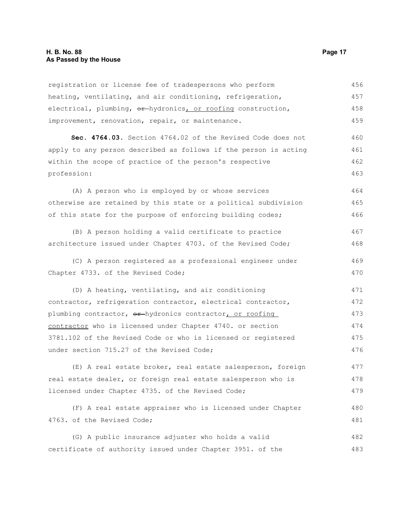registration or license fee of tradespersons who perform heating, ventilating, and air conditioning, refrigeration, electrical, plumbing,  $\Theta$ <sup>+</sup>hydronics, or roofing construction, improvement, renovation, repair, or maintenance. 456 457 458 459

**Sec. 4764.03.** Section 4764.02 of the Revised Code does not apply to any person described as follows if the person is acting within the scope of practice of the person's respective profession: 460 461 462 463

(A) A person who is employed by or whose services otherwise are retained by this state or a political subdivision of this state for the purpose of enforcing building codes; 464 465 466

(B) A person holding a valid certificate to practice architecture issued under Chapter 4703. of the Revised Code; 467 468

(C) A person registered as a professional engineer under Chapter 4733. of the Revised Code; 469 470

(D) A heating, ventilating, and air conditioning contractor, refrigeration contractor, electrical contractor, plumbing contractor, or-hydronics contractor, or roofing contractor who is licensed under Chapter 4740. or section 3781.102 of the Revised Code or who is licensed or registered under section 715.27 of the Revised Code; 471 472 473 474 475 476

(E) A real estate broker, real estate salesperson, foreign real estate dealer, or foreign real estate salesperson who is licensed under Chapter 4735. of the Revised Code; 477 478 479

(F) A real estate appraiser who is licensed under Chapter 4763. of the Revised Code; 480 481

(G) A public insurance adjuster who holds a valid certificate of authority issued under Chapter 3951. of the 482 483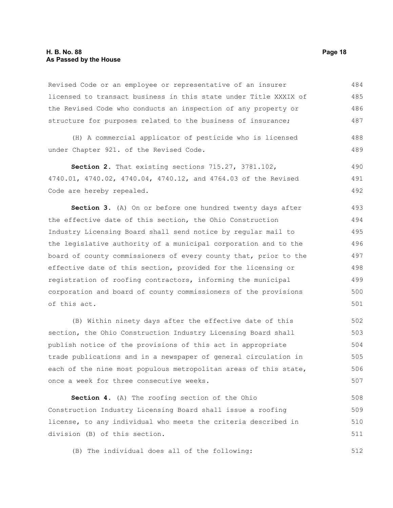Revised Code or an employee or representative of an insurer licensed to transact business in this state under Title XXXIX of the Revised Code who conducts an inspection of any property or structure for purposes related to the business of insurance; 484 485 486 487

(H) A commercial applicator of pesticide who is licensed under Chapter 921. of the Revised Code. 488 489

**Section 2.** That existing sections 715.27, 3781.102, 4740.01, 4740.02, 4740.04, 4740.12, and 4764.03 of the Revised Code are hereby repealed. 490 491 492

**Section 3.** (A) On or before one hundred twenty days after the effective date of this section, the Ohio Construction Industry Licensing Board shall send notice by regular mail to the legislative authority of a municipal corporation and to the board of county commissioners of every county that, prior to the effective date of this section, provided for the licensing or registration of roofing contractors, informing the municipal corporation and board of county commissioners of the provisions of this act.

(B) Within ninety days after the effective date of this section, the Ohio Construction Industry Licensing Board shall publish notice of the provisions of this act in appropriate trade publications and in a newspaper of general circulation in each of the nine most populous metropolitan areas of this state, once a week for three consecutive weeks. 502 503 504 505 506 507

**Section 4.** (A) The roofing section of the Ohio Construction Industry Licensing Board shall issue a roofing license, to any individual who meets the criteria described in division (B) of this section. 508 509 510 511

(B) The individual does all of the following: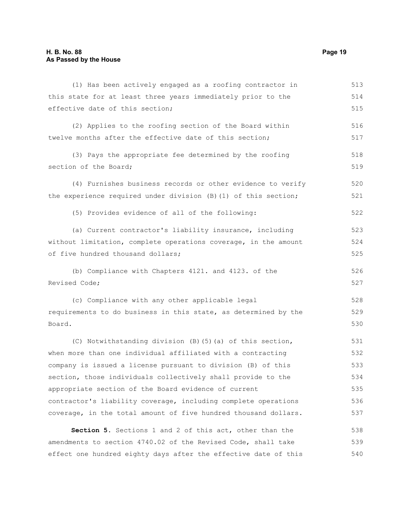| (1) Has been actively engaged as a roofing contractor in        | 513 |
|-----------------------------------------------------------------|-----|
| this state for at least three years immediately prior to the    | 514 |
| effective date of this section;                                 | 515 |
| (2) Applies to the roofing section of the Board within          | 516 |
| twelve months after the effective date of this section;         | 517 |
| (3) Pays the appropriate fee determined by the roofing          | 518 |
| section of the Board;                                           | 519 |
| (4) Furnishes business records or other evidence to verify      | 520 |
| the experience required under division (B) (1) of this section; | 521 |
| (5) Provides evidence of all of the following:                  | 522 |
| (a) Current contractor's liability insurance, including         | 523 |
| without limitation, complete operations coverage, in the amount | 524 |
| of five hundred thousand dollars;                               | 525 |
| (b) Compliance with Chapters 4121. and 4123. of the             | 526 |
| Revised Code;                                                   | 527 |
| (c) Compliance with any other applicable legal                  | 528 |
| requirements to do business in this state, as determined by the | 529 |
| Board.                                                          | 530 |
| (C) Notwithstanding division (B) (5) (a) of this section,       | 531 |
| when more than one individual affiliated with a contracting     | 532 |
| company is issued a license pursuant to division (B) of this    | 533 |
| section, those individuals collectively shall provide to the    | 534 |
| appropriate section of the Board evidence of current            | 535 |

**Section 5.** Sections 1 and 2 of this act, other than the amendments to section 4740.02 of the Revised Code, shall take effect one hundred eighty days after the effective date of this 538 539 540

contractor's liability coverage, including complete operations coverage, in the total amount of five hundred thousand dollars.